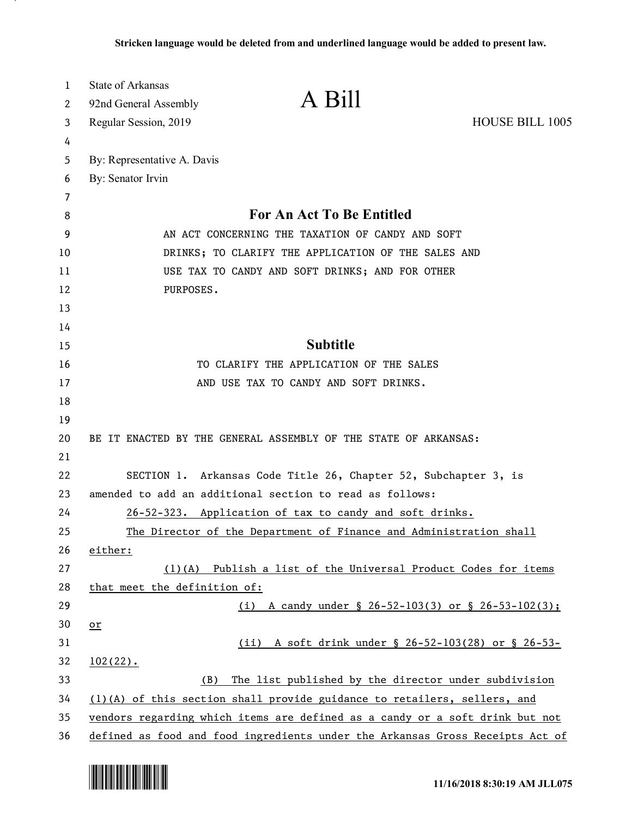| 1  | <b>State of Arkansas</b>                                                      |  |
|----|-------------------------------------------------------------------------------|--|
| 2  | A Bill<br>92nd General Assembly                                               |  |
| 3  | <b>HOUSE BILL 1005</b><br>Regular Session, 2019                               |  |
| 4  |                                                                               |  |
| 5  | By: Representative A. Davis                                                   |  |
| 6  | By: Senator Irvin                                                             |  |
| 7  |                                                                               |  |
| 8  | <b>For An Act To Be Entitled</b>                                              |  |
| 9  | AN ACT CONCERNING THE TAXATION OF CANDY AND SOFT                              |  |
| 10 | DRINKS; TO CLARIFY THE APPLICATION OF THE SALES AND                           |  |
| 11 | USE TAX TO CANDY AND SOFT DRINKS; AND FOR OTHER                               |  |
| 12 | PURPOSES.                                                                     |  |
| 13 |                                                                               |  |
| 14 |                                                                               |  |
| 15 | <b>Subtitle</b>                                                               |  |
| 16 | TO CLARIFY THE APPLICATION OF THE SALES                                       |  |
| 17 | AND USE TAX TO CANDY AND SOFT DRINKS.                                         |  |
| 18 |                                                                               |  |
| 19 |                                                                               |  |
| 20 | BE IT ENACTED BY THE GENERAL ASSEMBLY OF THE STATE OF ARKANSAS:               |  |
| 21 |                                                                               |  |
| 22 | SECTION 1. Arkansas Code Title 26, Chapter 52, Subchapter 3, is               |  |
| 23 | amended to add an additional section to read as follows:                      |  |
| 24 | 26-52-323. Application of tax to candy and soft drinks.                       |  |
| 25 | The Director of the Department of Finance and Administration shall            |  |
| 26 | either:                                                                       |  |
| 27 | (1)(A) Publish a list of the Universal Product Codes for items                |  |
| 28 | that meet the definition of:                                                  |  |
| 29 | (i) A candy under $\S$ 26-52-103(3) or $\S$ 26-53-102(3);                     |  |
| 30 | $or$                                                                          |  |
| 31 | A soft drink under § 26-52-103(28) or § 26-53-<br>(ii)                        |  |
| 32 | $102(22)$ .                                                                   |  |
| 33 | The list published by the director under subdivision<br>(B)                   |  |
| 34 | (1)(A) of this section shall provide guidance to retailers, sellers, and      |  |
| 35 | vendors regarding which items are defined as a candy or a soft drink but not  |  |
| 36 | defined as food and food ingredients under the Arkansas Gross Receipts Act of |  |